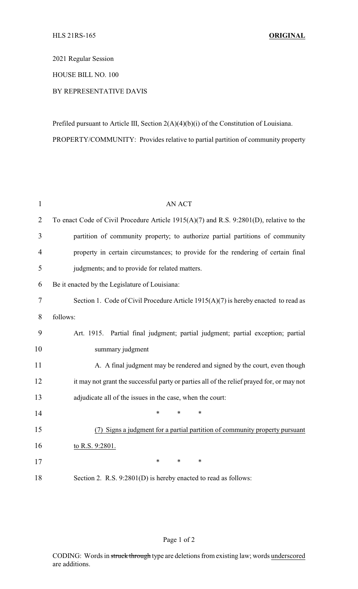2021 Regular Session

HOUSE BILL NO. 100

## BY REPRESENTATIVE DAVIS

Prefiled pursuant to Article III, Section 2(A)(4)(b)(i) of the Constitution of Louisiana. PROPERTY/COMMUNITY: Provides relative to partial partition of community property

| $\mathbf{1}$ | <b>AN ACT</b>                                                                             |  |  |
|--------------|-------------------------------------------------------------------------------------------|--|--|
| 2            | To enact Code of Civil Procedure Article $1915(A)(7)$ and R.S. 9:2801(D), relative to the |  |  |
| 3            | partition of community property; to authorize partial partitions of community             |  |  |
| 4            | property in certain circumstances; to provide for the rendering of certain final          |  |  |
| 5            | judgments; and to provide for related matters.                                            |  |  |
| 6            | Be it enacted by the Legislature of Louisiana:                                            |  |  |
| $\tau$       | Section 1. Code of Civil Procedure Article $1915(A)(7)$ is hereby enacted to read as      |  |  |
| 8            | follows:                                                                                  |  |  |
| 9            | Art. 1915. Partial final judgment; partial judgment; partial exception; partial           |  |  |
| 10           | summary judgment                                                                          |  |  |
| 11           | A. A final judgment may be rendered and signed by the court, even though                  |  |  |
| 12           | it may not grant the successful party or parties all of the relief prayed for, or may not |  |  |
| 13           | adjudicate all of the issues in the case, when the court:                                 |  |  |
| 14           | $\ast$<br>*<br>$\ast$                                                                     |  |  |
| 15           | Signs a judgment for a partial partition of community property pursuant<br>(7)            |  |  |
| 16           | to R.S. 9:2801.                                                                           |  |  |
| 17           | ∗<br>$\ast$<br>$\ast$                                                                     |  |  |
| 18           | Section 2. R.S. 9:2801(D) is hereby enacted to read as follows:                           |  |  |

## Page 1 of 2

CODING: Words in struck through type are deletions from existing law; words underscored are additions.